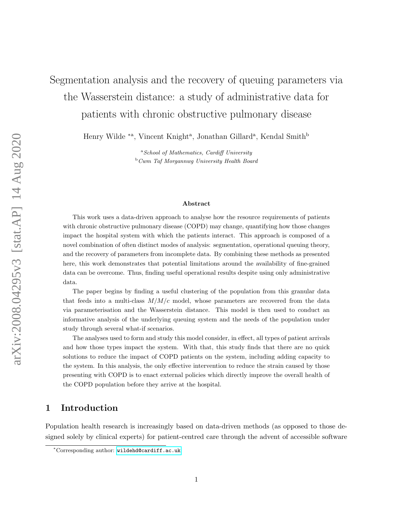# Segmentation analysis and the recovery of queuing parameters via the Wasserstein distance: a study of administrative data for patients with chronic obstructive pulmonary disease

Henry Wilde <sup>\*a</sup>, Vincent Knight<sup>a</sup>, Jonathan Gillard<sup>a</sup>, Kendal Smith<sup>b</sup>

<sup>a</sup>School of Mathematics, Cardiff University  $b_{\text{w}}$  Cwm Taf Morgannwg University Health Board

#### Abstract

This work uses a data-driven approach to analyse how the resource requirements of patients with chronic obstructive pulmonary disease (COPD) may change, quantifying how those changes impact the hospital system with which the patients interact. This approach is composed of a novel combination of often distinct modes of analysis: segmentation, operational queuing theory, and the recovery of parameters from incomplete data. By combining these methods as presented here, this work demonstrates that potential limitations around the availability of fine-grained data can be overcome. Thus, finding useful operational results despite using only administrative data.

The paper begins by finding a useful clustering of the population from this granular data that feeds into a multi-class  $M/M/c$  model, whose parameters are recovered from the data via parameterisation and the Wasserstein distance. This model is then used to conduct an informative analysis of the underlying queuing system and the needs of the population under study through several what-if scenarios.

The analyses used to form and study this model consider, in effect, all types of patient arrivals and how those types impact the system. With that, this study finds that there are no quick solutions to reduce the impact of COPD patients on the system, including adding capacity to the system. In this analysis, the only effective intervention to reduce the strain caused by those presenting with COPD is to enact external policies which directly improve the overall health of the COPD population before they arrive at the hospital.

# <span id="page-0-0"></span>1 Introduction

Population health research is increasingly based on data-driven methods (as opposed to those designed solely by clinical experts) for patient-centred care through the advent of accessible software

<sup>∗</sup>Corresponding author: <wildehd@cardiff.ac.uk>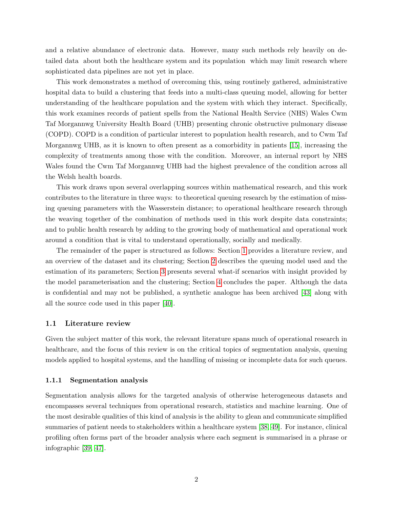and a relative abundance of electronic data. However, many such methods rely heavily on detailed data about both the healthcare system and its population which may limit research where sophisticated data pipelines are not yet in place.

This work demonstrates a method of overcoming this, using routinely gathered, administrative hospital data to build a clustering that feeds into a multi-class queuing model, allowing for better understanding of the healthcare population and the system with which they interact. Specifically, this work examines records of patient spells from the National Health Service (NHS) Wales Cwm Taf Morgannwg University Health Board (UHB) presenting chronic obstructive pulmonary disease (COPD). COPD is a condition of particular interest to population health research, and to Cwm Taf Morgannwg UHB, as it is known to often present as a comorbidity in patients [\[15\]](#page-20-0), increasing the complexity of treatments among those with the condition. Moreover, an internal report by NHS Wales found the Cwm Taf Morgannwg UHB had the highest prevalence of the condition across all the Welsh health boards.

This work draws upon several overlapping sources within mathematical research, and this work contributes to the literature in three ways: to theoretical queuing research by the estimation of missing queuing parameters with the Wasserstein distance; to operational healthcare research through the weaving together of the combination of methods used in this work despite data constraints; and to public health research by adding to the growing body of mathematical and operational work around a condition that is vital to understand operationally, socially and medically.

The remainder of the paper is structured as follows: Section [1](#page-0-0) provides a literature review, and an overview of the dataset and its clustering; Section [2](#page-9-0) describes the queuing model used and the estimation of its parameters; Section [3](#page-12-0) presents several what-if scenarios with insight provided by the model parameterisation and the clustering; Section [4](#page-16-0) concludes the paper. Although the data is confidential and may not be published, a synthetic analogue has been archived [\[43\]](#page-22-0) along with all the source code used in this paper [\[40\]](#page-22-1).

### 1.1 Literature review

Given the subject matter of this work, the relevant literature spans much of operational research in healthcare, and the focus of this review is on the critical topics of segmentation analysis, queuing models applied to hospital systems, and the handling of missing or incomplete data for such queues.

#### 1.1.1 Segmentation analysis

Segmentation analysis allows for the targeted analysis of otherwise heterogeneous datasets and encompasses several techniques from operational research, statistics and machine learning. One of the most desirable qualities of this kind of analysis is the ability to glean and communicate simplified summaries of patient needs to stakeholders within a healthcare system [\[38,](#page-22-2) [49\]](#page-23-0). For instance, clinical profiling often forms part of the broader analysis where each segment is summarised in a phrase or infographic [\[39,](#page-22-3) [47\]](#page-23-1).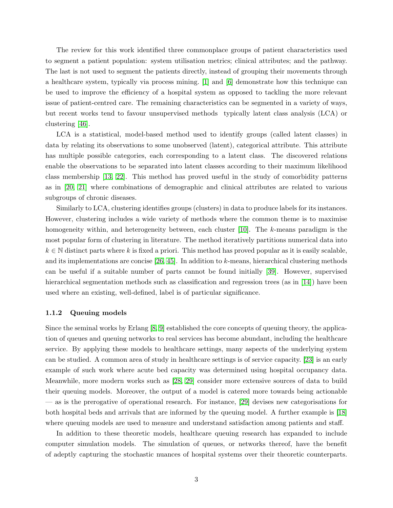The review for this work identified three commonplace groups of patient characteristics used to segment a patient population: system utilisation metrics; clinical attributes; and the pathway. The last is not used to segment the patients directly, instead of grouping their movements through a healthcare system, typically via process mining. [\[1\]](#page-19-0) and [\[6\]](#page-20-1) demonstrate how this technique can be used to improve the efficiency of a hospital system as opposed to tackling the more relevant issue of patient-centred care. The remaining characteristics can be segmented in a variety of ways, but recent works tend to favour unsupervised methods typically latent class analysis (LCA) or clustering [\[46\]](#page-23-2).

LCA is a statistical, model-based method used to identify groups (called latent classes) in data by relating its observations to some unobserved (latent), categorical attribute. This attribute has multiple possible categories, each corresponding to a latent class. The discovered relations enable the observations to be separated into latent classes according to their maximum likelihood class membership [\[13,](#page-20-2) [22\]](#page-21-0). This method has proved useful in the study of comorbidity patterns as in [\[20,](#page-21-1) [21\]](#page-21-2) where combinations of demographic and clinical attributes are related to various subgroups of chronic diseases.

Similarly to LCA, clustering identifies groups (clusters) in data to produce labels for its instances. However, clustering includes a wide variety of methods where the common theme is to maximise homogeneity within, and heterogeneity between, each cluster [\[10\]](#page-20-3). The k-means paradigm is the most popular form of clustering in literature. The method iteratively partitions numerical data into  $k \in \mathbb{N}$  distinct parts where k is fixed a priori. This method has proved popular as it is easily scalable, and its implementations are concise [\[26,](#page-21-3) [45\]](#page-23-3). In addition to k-means, hierarchical clustering methods can be useful if a suitable number of parts cannot be found initially [\[39\]](#page-22-3). However, supervised hierarchical segmentation methods such as classification and regression trees (as in [\[14\]](#page-20-4)) have been used where an existing, well-defined, label is of particular significance.

#### 1.1.2 Queuing models

Since the seminal works by Erlang [\[8,](#page-20-5) [9\]](#page-20-6) established the core concepts of queuing theory, the application of queues and queuing networks to real services has become abundant, including the healthcare service. By applying these models to healthcare settings, many aspects of the underlying system can be studied. A common area of study in healthcare settings is of service capacity. [\[23\]](#page-21-4) is an early example of such work where acute bed capacity was determined using hospital occupancy data. Meanwhile, more modern works such as [\[28,](#page-21-5) [29\]](#page-21-6) consider more extensive sources of data to build their queuing models. Moreover, the output of a model is catered more towards being actionable — as is the prerogative of operational research. For instance, [\[29\]](#page-21-6) devises new categorisations for both hospital beds and arrivals that are informed by the queuing model. A further example is [\[18\]](#page-20-7) where queuing models are used to measure and understand satisfaction among patients and staff.

In addition to these theoretic models, healthcare queuing research has expanded to include computer simulation models. The simulation of queues, or networks thereof, have the benefit of adeptly capturing the stochastic nuances of hospital systems over their theoretic counterparts.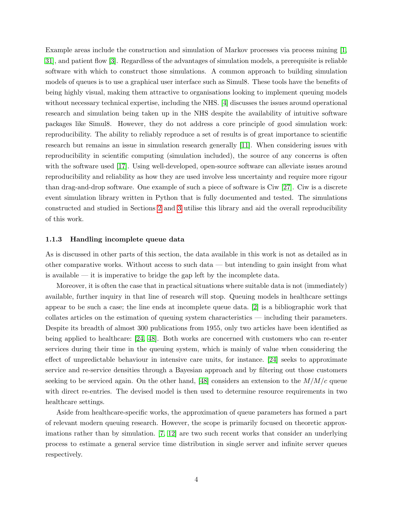Example areas include the construction and simulation of Markov processes via process mining [\[1,](#page-19-0) [31\]](#page-21-7), and patient flow [\[3\]](#page-19-1). Regardless of the advantages of simulation models, a prerequisite is reliable software with which to construct those simulations. A common approach to building simulation models of queues is to use a graphical user interface such as Simul8. These tools have the benefits of being highly visual, making them attractive to organisations looking to implement queuing models without necessary technical expertise, including the NHS. [\[4\]](#page-19-2) discusses the issues around operational research and simulation being taken up in the NHS despite the availability of intuitive software packages like Simul8. However, they do not address a core principle of good simulation work: reproducibility. The ability to reliably reproduce a set of results is of great importance to scientific research but remains an issue in simulation research generally [\[11\]](#page-20-8). When considering issues with reproducibility in scientific computing (simulation included), the source of any concerns is often with the software used [\[17\]](#page-20-9). Using well-developed, open-source software can alleviate issues around reproducibility and reliability as how they are used involve less uncertainty and require more rigour than drag-and-drop software. One example of such a piece of software is Ciw [\[27\]](#page-21-8). Ciw is a discrete event simulation library written in Python that is fully documented and tested. The simulations constructed and studied in Sections [2](#page-9-0) and [3](#page-12-0) utilise this library and aid the overall reproducibility of this work.

### 1.1.3 Handling incomplete queue data

As is discussed in other parts of this section, the data available in this work is not as detailed as in other comparative works. Without access to such data — but intending to gain insight from what is available — it is imperative to bridge the gap left by the incomplete data.

Moreover, it is often the case that in practical situations where suitable data is not (immediately) available, further inquiry in that line of research will stop. Queuing models in healthcare settings appear to be such a case; the line ends at incomplete queue data. [\[2\]](#page-19-3) is a bibliographic work that collates articles on the estimation of queuing system characteristics — including their parameters. Despite its breadth of almost 300 publications from 1955, only two articles have been identified as being applied to healthcare: [\[24,](#page-21-9) [48\]](#page-23-4). Both works are concerned with customers who can re-enter services during their time in the queuing system, which is mainly of value when considering the effect of unpredictable behaviour in intensive care units, for instance. [\[24\]](#page-21-9) seeks to approximate service and re-service densities through a Bayesian approach and by filtering out those customers seeking to be serviced again. On the other hand, [\[48\]](#page-23-4) considers an extension to the  $M/M/c$  queue with direct re-entries. The devised model is then used to determine resource requirements in two healthcare settings.

Aside from healthcare-specific works, the approximation of queue parameters has formed a part of relevant modern queuing research. However, the scope is primarily focused on theoretic approximations rather than by simulation. [\[7,](#page-20-10) [12\]](#page-20-11) are two such recent works that consider an underlying process to estimate a general service time distribution in single server and infinite server queues respectively.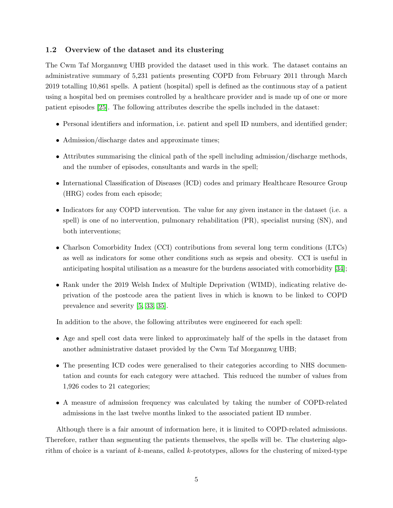### <span id="page-4-0"></span>1.2 Overview of the dataset and its clustering

The Cwm Taf Morgannwg UHB provided the dataset used in this work. The dataset contains an administrative summary of 5,231 patients presenting COPD from February 2011 through March 2019 totalling 10,861 spells. A patient (hospital) spell is defined as the continuous stay of a patient using a hospital bed on premises controlled by a healthcare provider and is made up of one or more patient episodes [\[25\]](#page-21-10). The following attributes describe the spells included in the dataset:

- Personal identifiers and information, i.e. patient and spell ID numbers, and identified gender;
- Admission/discharge dates and approximate times;
- Attributes summarising the clinical path of the spell including admission/discharge methods, and the number of episodes, consultants and wards in the spell;
- International Classification of Diseases (ICD) codes and primary Healthcare Resource Group (HRG) codes from each episode;
- Indicators for any COPD intervention. The value for any given instance in the dataset (i.e. a spell) is one of no intervention, pulmonary rehabilitation (PR), specialist nursing (SN), and both interventions;
- Charlson Comorbidity Index (CCI) contributions from several long term conditions (LTCs) as well as indicators for some other conditions such as sepsis and obesity. CCI is useful in anticipating hospital utilisation as a measure for the burdens associated with comorbidity [\[34\]](#page-22-4);
- Rank under the 2019 Welsh Index of Multiple Deprivation (WIMD), indicating relative deprivation of the postcode area the patient lives in which is known to be linked to COPD prevalence and severity [\[5,](#page-19-4) [33,](#page-22-5) [35\]](#page-22-6).

In addition to the above, the following attributes were engineered for each spell:

- Age and spell cost data were linked to approximately half of the spells in the dataset from another administrative dataset provided by the Cwm Taf Morgannwg UHB;
- The presenting ICD codes were generalised to their categories according to NHS documentation and counts for each category were attached. This reduced the number of values from 1,926 codes to 21 categories;
- A measure of admission frequency was calculated by taking the number of COPD-related admissions in the last twelve months linked to the associated patient ID number.

Although there is a fair amount of information here, it is limited to COPD-related admissions. Therefore, rather than segmenting the patients themselves, the spells will be. The clustering algorithm of choice is a variant of  $k$ -means, called  $k$ -prototypes, allows for the clustering of mixed-type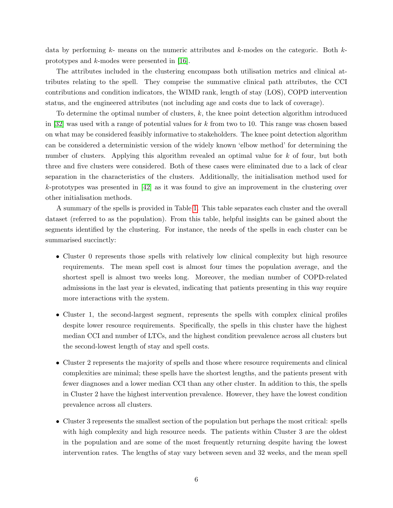data by performing  $k$ - means on the numeric attributes and  $k$ -modes on the categoric. Both  $k$ prototypes and k-modes were presented in [\[16\]](#page-20-12).

The attributes included in the clustering encompass both utilisation metrics and clinical attributes relating to the spell. They comprise the summative clinical path attributes, the CCI contributions and condition indicators, the WIMD rank, length of stay (LOS), COPD intervention status, and the engineered attributes (not including age and costs due to lack of coverage).

To determine the optimal number of clusters, k, the knee point detection algorithm introduced in [\[32\]](#page-22-7) was used with a range of potential values for k from two to 10. This range was chosen based on what may be considered feasibly informative to stakeholders. The knee point detection algorithm can be considered a deterministic version of the widely known 'elbow method' for determining the number of clusters. Applying this algorithm revealed an optimal value for k of four, but both three and five clusters were considered. Both of these cases were eliminated due to a lack of clear separation in the characteristics of the clusters. Additionally, the initialisation method used for  $k$ -prototypes was presented in [\[42\]](#page-22-8) as it was found to give an improvement in the clustering over other initialisation methods.

A summary of the spells is provided in Table [1.](#page-6-0) This table separates each cluster and the overall dataset (referred to as the population). From this table, helpful insights can be gained about the segments identified by the clustering. For instance, the needs of the spells in each cluster can be summarised succinctly:

- Cluster 0 represents those spells with relatively low clinical complexity but high resource requirements. The mean spell cost is almost four times the population average, and the shortest spell is almost two weeks long. Moreover, the median number of COPD-related admissions in the last year is elevated, indicating that patients presenting in this way require more interactions with the system.
- Cluster 1, the second-largest segment, represents the spells with complex clinical profiles despite lower resource requirements. Specifically, the spells in this cluster have the highest median CCI and number of LTCs, and the highest condition prevalence across all clusters but the second-lowest length of stay and spell costs.
- Cluster 2 represents the majority of spells and those where resource requirements and clinical complexities are minimal; these spells have the shortest lengths, and the patients present with fewer diagnoses and a lower median CCI than any other cluster. In addition to this, the spells in Cluster 2 have the highest intervention prevalence. However, they have the lowest condition prevalence across all clusters.
- Cluster 3 represents the smallest section of the population but perhaps the most critical: spells with high complexity and high resource needs. The patients within Cluster 3 are the oldest in the population and are some of the most frequently returning despite having the lowest intervention rates. The lengths of stay vary between seven and 32 weeks, and the mean spell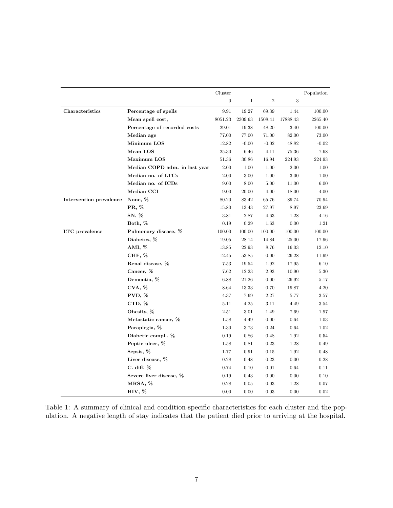<span id="page-6-0"></span>

|                         |                               | Cluster        |         |                |          | Population |
|-------------------------|-------------------------------|----------------|---------|----------------|----------|------------|
|                         |                               | $\overline{0}$ | 1       | $\overline{2}$ | 3        |            |
| Characteristics         | Percentage of spells          | 9.91           | 19.27   | 69.39          | 1.44     | 100.00     |
|                         | Mean spell cost,              | $8051.23\,$    | 2309.63 | 1508.41        | 17888.43 | 2265.40    |
|                         | Percentage of recorded costs  | 29.01          | 19.38   | 48.20          | 3.40     | 100.00     |
|                         | Median age                    | 77.00          | 77.00   | 71.00          | 82.00    | 73.00      |
|                         | Minimum LOS                   | 12.82          | $-0.00$ | $-0.02$        | 48.82    | $-0.02$    |
|                         | Mean LOS                      | 25.30          | 6.46    | 4.11           | 75.36    | 7.68       |
|                         | Maximum LOS                   | 51.36          | 30.86   | 16.94          | 224.93   | 224.93     |
|                         | Median COPD adm. in last year | 2.00           | 1.00    | 1.00           | 2.00     | 1.00       |
|                         | Median no. of LTCs            | 2.00           | 3.00    | 1.00           | 3.00     | 1.00       |
|                         | Median no. of ICDs            | 9.00           | 8.00    | 5.00           | 11.00    | 6.00       |
|                         | Median CCI                    | 9.00           | 20.00   | 4.00           | 18.00    | 4.00       |
| Intervention prevalence | None, %                       | 80.20          | 83.42   | 65.76          | 89.74    | 70.94      |
|                         | PR, %                         | 15.80          | 13.43   | 27.97          | 8.97     | 23.69      |
|                         | SN, %                         | 3.81           | 2.87    | 4.63           | 1.28     | 4.16       |
|                         | Both, %                       | 0.19           | 0.29    | 1.63           | 0.00     | 1.21       |
| LTC prevalence          | Pulmonary disease, %          | 100.00         | 100.00  | 100.00         | 100.00   | 100.00     |
|                         | Diabetes, %                   | 19.05          | 28.14   | 14.84          | 25.00    | 17.96      |
|                         | AMI, %                        | 13.85          | 22.93   | 8.76           | 16.03    | 12.10      |
|                         | CHF, %                        | 12.45          | 53.85   | 0.00           | 26.28    | 11.99      |
|                         | Renal disease, %              | 7.53           | 19.54   | 1.92           | 17.95    | 6.10       |
|                         | Cancer, %                     | 7.62           | 12.23   | 2.93           | 10.90    | 5.30       |
|                         | Dementia, %                   | 6.88           | 21.26   | 0.00           | 26.92    | 5.17       |
|                         | CVA, %                        | 8.64           | 13.33   | 0.70           | 19.87    | 4.20       |
|                         | PVD, %                        | 4.37           | 7.69    | 2.27           | 5.77     | 3.57       |
|                         | CTD, %                        | 5.11           | 4.25    | 3.11           | 4.49     | 3.54       |
|                         | Obesity, %                    | 2.51           | 3.01    | 1.49           | 7.69     | 1.97       |
|                         | Metastatic cancer, %          | 1.58           | 4.49    | 0.00           | 0.64     | 1.03       |
|                         | Paraplegia, %                 | 1.30           | 3.73    | 0.24           | 0.64     | 1.02       |
|                         | Diabetic compl., %            | 0.19           | 0.86    | 0.48           | 1.92     | 0.54       |
|                         | Peptic ulcer, %               | 1.58           | 0.81    | 0.23           | 1.28     | 0.49       |
|                         | Sepsis, %                     | 1.77           | 0.91    | 0.15           | 1.92     | 0.48       |
|                         | Liver disease, %              | $0.28\,$       | 0.48    | 0.23           | 0.00     | 0.28       |
|                         | C. diff, $%$                  | 0.74           | 0.10    | 0.01           | 0.64     | 0.11       |
|                         | Severe liver disease, %       | 0.19           | 0.43    | 0.00           | 0.00     | 0.10       |
|                         | MRSA, %                       | 0.28           | 0.05    | 0.03           | 1.28     | 0.07       |
|                         | HIV, %                        | 0.00           | 0.00    | 0.03           | 0.00     | 0.02       |

Table 1: A summary of clinical and condition-specific characteristics for each cluster and the population. A negative length of stay indicates that the patient died prior to arriving at the hospital.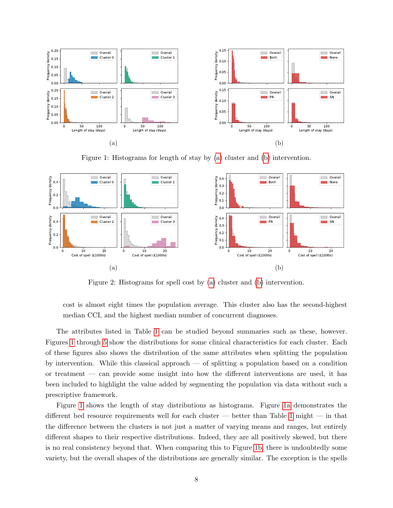<span id="page-7-0"></span>

Figure 1: Histograms for length of stay by [\(a\)](#page-7-0) cluster and [\(b\)](#page-7-0) intervention.

<span id="page-7-1"></span>

Figure 2: Histograms for spell cost by [\(a\)](#page-7-1) cluster and [\(b\)](#page-7-1) intervention.

cost is almost eight times the population average. This cluster also has the second-highest median CCI, and the highest median number of concurrent diagnoses.

The attributes listed in Table [1](#page-6-0) can be studied beyond summaries such as these, however. Figures [1](#page-7-0) through [5](#page-9-1) show the distributions for some clinical characteristics for each cluster. Each of these figures also shows the distribution of the same attributes when splitting the population by intervention. While this classical approach — of splitting a population based on a condition or treatment — can provide some insight into how the different interventions are used, it has been included to highlight the value added by segmenting the population via data without such a prescriptive framework.

Figure [1](#page-7-0) shows the length of stay distributions as histograms. Figure [1a](#page-7-0) demonstrates the different bed resource requirements well for each cluster — better than Table [1](#page-6-0) might — in that the difference between the clusters is not just a matter of varying means and ranges, but entirely different shapes to their respective distributions. Indeed, they are all positively skewed, but there is no real consistency beyond that. When comparing this to Figure [1b,](#page-7-0) there is undoubtedly some variety, but the overall shapes of the distributions are generally similar. The exception is the spells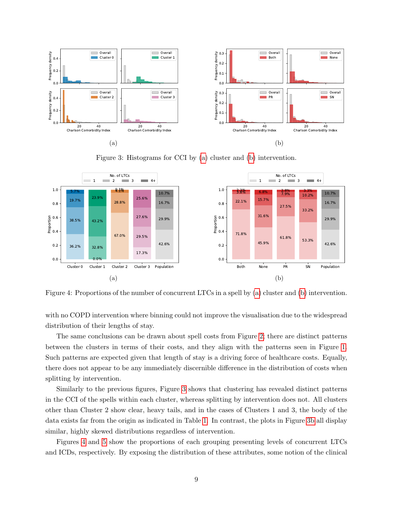<span id="page-8-0"></span>

Figure 3: Histograms for CCI by [\(a\)](#page-8-0) cluster and [\(b\)](#page-8-0) intervention.

<span id="page-8-1"></span>

Figure 4: Proportions of the number of concurrent LTCs in a spell by [\(a\)](#page-8-1) cluster and [\(b\)](#page-8-1) intervention.

with no COPD intervention where binning could not improve the visualisation due to the widespread distribution of their lengths of stay.

The same conclusions can be drawn about spell costs from Figure [2;](#page-7-1) there are distinct patterns between the clusters in terms of their costs, and they align with the patterns seen in Figure [1.](#page-7-0) Such patterns are expected given that length of stay is a driving force of healthcare costs. Equally, there does not appear to be any immediately discernible difference in the distribution of costs when splitting by intervention.

Similarly to the previous figures, Figure [3](#page-8-0) shows that clustering has revealed distinct patterns in the CCI of the spells within each cluster, whereas splitting by intervention does not. All clusters other than Cluster 2 show clear, heavy tails, and in the cases of Clusters 1 and 3, the body of the data exists far from the origin as indicated in Table [1.](#page-6-0) In contrast, the plots in Figure [3b](#page-8-0) all display similar, highly skewed distributions regardless of intervention.

Figures [4](#page-8-1) and [5](#page-9-1) show the proportions of each grouping presenting levels of concurrent LTCs and ICDs, respectively. By exposing the distribution of these attributes, some notion of the clinical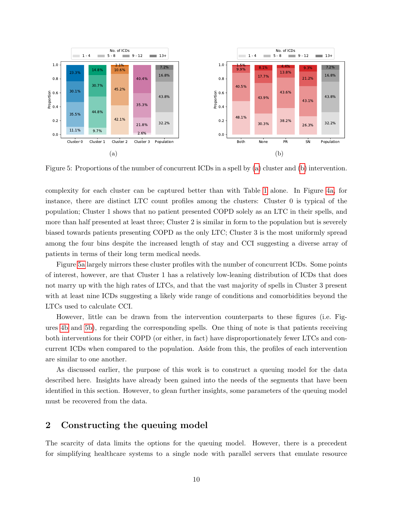<span id="page-9-1"></span>

Figure 5: Proportions of the number of concurrent ICDs in a spell by [\(a\)](#page-9-1) cluster and [\(b\)](#page-9-1) intervention.

complexity for each cluster can be captured better than with Table [1](#page-6-0) alone. In Figure [4a,](#page-8-1) for instance, there are distinct LTC count profiles among the clusters: Cluster 0 is typical of the population; Cluster 1 shows that no patient presented COPD solely as an LTC in their spells, and more than half presented at least three; Cluster 2 is similar in form to the population but is severely biased towards patients presenting COPD as the only LTC; Cluster 3 is the most uniformly spread among the four bins despite the increased length of stay and CCI suggesting a diverse array of patients in terms of their long term medical needs.

Figure [5a](#page-9-1) largely mirrors these cluster profiles with the number of concurrent ICDs. Some points of interest, however, are that Cluster 1 has a relatively low-leaning distribution of ICDs that does not marry up with the high rates of LTCs, and that the vast majority of spells in Cluster 3 present with at least nine ICDs suggesting a likely wide range of conditions and comorbidities beyond the LTCs used to calculate CCI.

However, little can be drawn from the intervention counterparts to these figures (i.e. Figures [4b](#page-8-1) and [5b\)](#page-9-1), regarding the corresponding spells. One thing of note is that patients receiving both interventions for their COPD (or either, in fact) have disproportionately fewer LTCs and concurrent ICDs when compared to the population. Aside from this, the profiles of each intervention are similar to one another.

As discussed earlier, the purpose of this work is to construct a queuing model for the data described here. Insights have already been gained into the needs of the segments that have been identified in this section. However, to glean further insights, some parameters of the queuing model must be recovered from the data.

# <span id="page-9-0"></span>2 Constructing the queuing model

The scarcity of data limits the options for the queuing model. However, there is a precedent for simplifying healthcare systems to a single node with parallel servers that emulate resource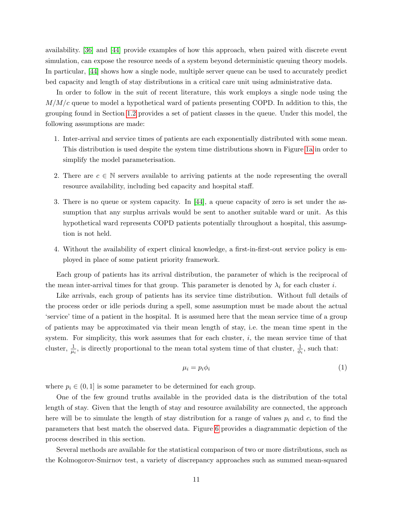availability. [\[36\]](#page-22-9) and [\[44\]](#page-23-5) provide examples of how this approach, when paired with discrete event simulation, can expose the resource needs of a system beyond deterministic queuing theory models. In particular, [\[44\]](#page-23-5) shows how a single node, multiple server queue can be used to accurately predict bed capacity and length of stay distributions in a critical care unit using administrative data.

In order to follow in the suit of recent literature, this work employs a single node using the  $M/M/c$  queue to model a hypothetical ward of patients presenting COPD. In addition to this, the grouping found in Section [1.2](#page-4-0) provides a set of patient classes in the queue. Under this model, the following assumptions are made:

- 1. Inter-arrival and service times of patients are each exponentially distributed with some mean. This distribution is used despite the system time distributions shown in Figure [1a](#page-7-0) in order to simplify the model parameterisation.
- 2. There are  $c \in \mathbb{N}$  servers available to arriving patients at the node representing the overall resource availability, including bed capacity and hospital staff.
- 3. There is no queue or system capacity. In [\[44\]](#page-23-5), a queue capacity of zero is set under the assumption that any surplus arrivals would be sent to another suitable ward or unit. As this hypothetical ward represents COPD patients potentially throughout a hospital, this assumption is not held.
- 4. Without the availability of expert clinical knowledge, a first-in-first-out service policy is employed in place of some patient priority framework.

Each group of patients has its arrival distribution, the parameter of which is the reciprocal of the mean inter-arrival times for that group. This parameter is denoted by  $\lambda_i$  for each cluster i.

Like arrivals, each group of patients has its service time distribution. Without full details of the process order or idle periods during a spell, some assumption must be made about the actual 'service' time of a patient in the hospital. It is assumed here that the mean service time of a group of patients may be approximated via their mean length of stay, i.e. the mean time spent in the system. For simplicity, this work assumes that for each cluster,  $i$ , the mean service time of that cluster,  $\frac{1}{\mu_i}$ , is directly proportional to the mean total system time of that cluster,  $\frac{1}{\phi_i}$ , such that:

$$
\mu_i = p_i \phi_i \tag{1}
$$

where  $p_i \in (0,1]$  is some parameter to be determined for each group.

One of the few ground truths available in the provided data is the distribution of the total length of stay. Given that the length of stay and resource availability are connected, the approach here will be to simulate the length of stay distribution for a range of values  $p_i$  and c, to find the parameters that best match the observed data. Figure [6](#page-11-0) provides a diagrammatic depiction of the process described in this section.

Several methods are available for the statistical comparison of two or more distributions, such as the Kolmogorov-Smirnov test, a variety of discrepancy approaches such as summed mean-squared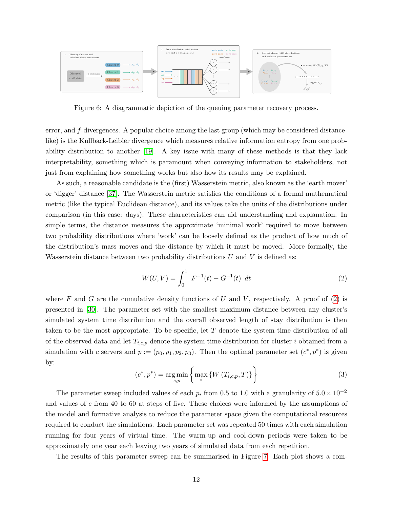<span id="page-11-0"></span>

Figure 6: A diagrammatic depiction of the queuing parameter recovery process.

error, and f-divergences. A popular choice among the last group (which may be considered distancelike) is the Kullback-Leibler divergence which measures relative information entropy from one probability distribution to another [\[19\]](#page-21-11). A key issue with many of these methods is that they lack interpretability, something which is paramount when conveying information to stakeholders, not just from explaining how something works but also how its results may be explained.

As such, a reasonable candidate is the (first) Wasserstein metric, also known as the 'earth mover' or 'digger' distance [\[37\]](#page-22-10). The Wasserstein metric satisfies the conditions of a formal mathematical metric (like the typical Euclidean distance), and its values take the units of the distributions under comparison (in this case: days). These characteristics can aid understanding and explanation. In simple terms, the distance measures the approximate 'minimal work' required to move between two probability distributions where 'work' can be loosely defined as the product of how much of the distribution's mass moves and the distance by which it must be moved. More formally, the Wasserstein distance between two probability distributions  $U$  and  $V$  is defined as:

<span id="page-11-1"></span>
$$
W(U,V) = \int_0^1 |F^{-1}(t) - G^{-1}(t)| dt
$$
\n(2)

where F and G are the cumulative density functions of U and V, respectively. A proof of  $(2)$  is presented in [\[30\]](#page-21-12). The parameter set with the smallest maximum distance between any cluster's simulated system time distribution and the overall observed length of stay distribution is then taken to be the most appropriate. To be specific, let  $T$  denote the system time distribution of all of the observed data and let  $T_{i,c,p}$  denote the system time distribution for cluster i obtained from a simulation with c servers and  $p := (p_0, p_1, p_2, p_3)$ . Then the optimal parameter set  $(c^*, p^*)$  is given by:

$$
(c^*, p^*) = \underset{c, p}{\text{arg min}} \left\{ \max_i \left\{ W \left( T_{i, c, p}, T \right) \right\} \right\} \tag{3}
$$

The parameter sweep included values of each  $p_i$  from 0.5 to 1.0 with a granularity of  $5.0 \times 10^{-2}$ and values of c from 40 to 60 at steps of five. These choices were informed by the assumptions of the model and formative analysis to reduce the parameter space given the computational resources required to conduct the simulations. Each parameter set was repeated 50 times with each simulation running for four years of virtual time. The warm-up and cool-down periods were taken to be approximately one year each leaving two years of simulated data from each repetition.

The results of this parameter sweep can be summarised in Figure [7.](#page-12-1) Each plot shows a com-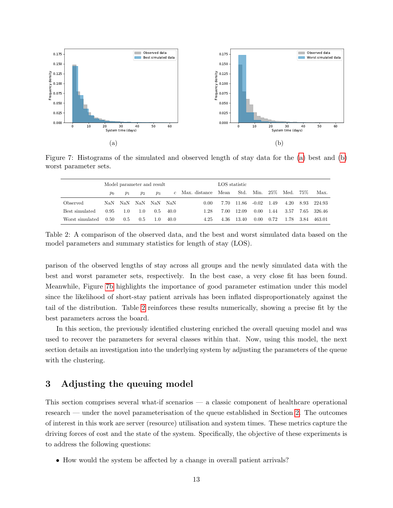<span id="page-12-1"></span>

Figure 7: Histograms of the simulated and observed length of stay data for the [\(a\)](#page-12-1) best and [\(b\)](#page-12-1) worst parameter sets.

<span id="page-12-2"></span>

|                 | Model parameter and result |         |       |       |       | LOS statistic                    |      |        |          |        |      |       |         |
|-----------------|----------------------------|---------|-------|-------|-------|----------------------------------|------|--------|----------|--------|------|-------|---------|
|                 | $p_0$                      | $p_1$   | $p_2$ | $p_3$ |       | $c$ Max. distance Mean Std. Min. |      |        |          | $25\%$ | Med. | 75%   | Max.    |
| Observed        |                            | NaN NaN | NaN   | NaN   | - NaN | 0.00                             | 7.70 | -11.86 | $-0.02$  | 1.49   | 4.20 | 8.93  | 224.93  |
| Best simulated  | 0.95                       | 1.0     | 1.0   | 0.5   | 40.0  | 1.28                             | 7.00 | 12.09  | $0.00 -$ | 1.44   | 3.57 | 7.65  | -326.46 |
| Worst simulated | 0.50                       | 0.5     | 0.5   | 1.0   | 40.0  | 4.25                             | 4.36 | 13.40  | 0.00     | 0.72   | 1.78 | -3.84 | 463.01  |

Table 2: A comparison of the observed data, and the best and worst simulated data based on the model parameters and summary statistics for length of stay (LOS).

parison of the observed lengths of stay across all groups and the newly simulated data with the best and worst parameter sets, respectively. In the best case, a very close fit has been found. Meanwhile, Figure [7b](#page-12-1) highlights the importance of good parameter estimation under this model since the likelihood of short-stay patient arrivals has been inflated disproportionately against the tail of the distribution. Table [2](#page-12-2) reinforces these results numerically, showing a precise fit by the best parameters across the board.

In this section, the previously identified clustering enriched the overall queuing model and was used to recover the parameters for several classes within that. Now, using this model, the next section details an investigation into the underlying system by adjusting the parameters of the queue with the clustering.

# <span id="page-12-0"></span>3 Adjusting the queuing model

This section comprises several what-if scenarios — a classic component of healthcare operational research — under the novel parameterisation of the queue established in Section [2.](#page-9-0) The outcomes of interest in this work are server (resource) utilisation and system times. These metrics capture the driving forces of cost and the state of the system. Specifically, the objective of these experiments is to address the following questions:

• How would the system be affected by a change in overall patient arrivals?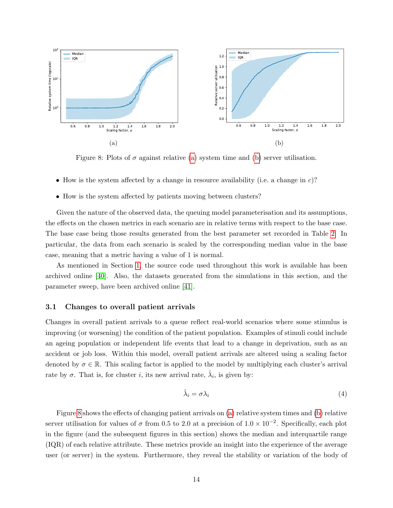<span id="page-13-0"></span>

Figure 8: Plots of  $\sigma$  against relative [\(a\)](#page-13-0) system time and [\(b\)](#page-13-0) server utilisation.

- How is the system affected by a change in resource availability (i.e. a change in  $c$ )?
- How is the system affected by patients moving between clusters?

Given the nature of the observed data, the queuing model parameterisation and its assumptions, the effects on the chosen metrics in each scenario are in relative terms with respect to the base case. The base case being those results generated from the best parameter set recorded in Table [2.](#page-12-2) In particular, the data from each scenario is scaled by the corresponding median value in the base case, meaning that a metric having a value of 1 is normal.

As mentioned in Section [1,](#page-0-0) the source code used throughout this work is available has been archived online [\[40\]](#page-22-1). Also, the datasets generated from the simulations in this section, and the parameter sweep, have been archived online [\[41\]](#page-22-11).

### 3.1 Changes to overall patient arrivals

Changes in overall patient arrivals to a queue reflect real-world scenarios where some stimulus is improving (or worsening) the condition of the patient population. Examples of stimuli could include an ageing population or independent life events that lead to a change in deprivation, such as an accident or job loss. Within this model, overall patient arrivals are altered using a scaling factor denoted by  $\sigma \in \mathbb{R}$ . This scaling factor is applied to the model by multiplying each cluster's arrival rate by  $\sigma$ . That is, for cluster *i*, its new arrival rate,  $\hat{\lambda}_i$ , is given by:

$$
\hat{\lambda}_i = \sigma \lambda_i \tag{4}
$$

Figure [8](#page-13-0) shows the effects of changing patient arrivals on [\(a\)](#page-13-0) relative system times and [\(b\)](#page-13-0) relative server utilisation for values of  $\sigma$  from 0.5 to 2.0 at a precision of  $1.0 \times 10^{-2}$ . Specifically, each plot in the figure (and the subsequent figures in this section) shows the median and interquartile range (IQR) of each relative attribute. These metrics provide an insight into the experience of the average user (or server) in the system. Furthermore, they reveal the stability or variation of the body of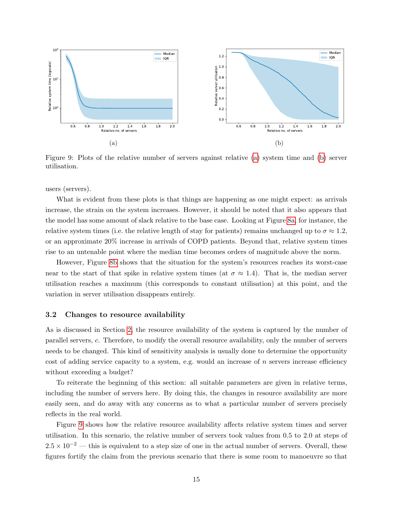<span id="page-14-0"></span>

Figure 9: Plots of the relative number of servers against relative [\(a\)](#page-14-0) system time and [\(b\)](#page-14-0) server utilisation.

users (servers).

What is evident from these plots is that things are happening as one might expect: as arrivals increase, the strain on the system increases. However, it should be noted that it also appears that the model has some amount of slack relative to the base case. Looking at Figure [8a,](#page-13-0) for instance, the relative system times (i.e. the relative length of stay for patients) remains unchanged up to  $\sigma \approx 1.2$ , or an approximate 20% increase in arrivals of COPD patients. Beyond that, relative system times rise to an untenable point where the median time becomes orders of magnitude above the norm.

However, Figure [8b](#page-13-0) shows that the situation for the system's resources reaches its worst-case near to the start of that spike in relative system times (at  $\sigma \approx 1.4$ ). That is, the median server utilisation reaches a maximum (this corresponds to constant utilisation) at this point, and the variation in server utilisation disappears entirely.

#### 3.2 Changes to resource availability

As is discussed in Section [2,](#page-9-0) the resource availability of the system is captured by the number of parallel servers, c. Therefore, to modify the overall resource availability, only the number of servers needs to be changed. This kind of sensitivity analysis is usually done to determine the opportunity cost of adding service capacity to a system, e.g. would an increase of  $n$  servers increase efficiency without exceeding a budget?

To reiterate the beginning of this section: all suitable parameters are given in relative terms, including the number of servers here. By doing this, the changes in resource availability are more easily seen, and do away with any concerns as to what a particular number of servers precisely reflects in the real world.

Figure [9](#page-14-0) shows how the relative resource availability affects relative system times and server utilisation. In this scenario, the relative number of servers took values from 0.5 to 2.0 at steps of  $2.5 \times 10^{-2}$  — this is equivalent to a step size of one in the actual number of servers. Overall, these figures fortify the claim from the previous scenario that there is some room to manoeuvre so that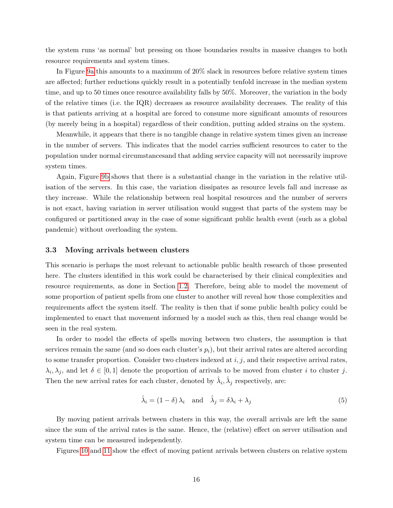the system runs 'as normal' but pressing on those boundaries results in massive changes to both resource requirements and system times.

In Figure [9a](#page-14-0) this amounts to a maximum of 20% slack in resources before relative system times are affected; further reductions quickly result in a potentially tenfold increase in the median system time, and up to 50 times once resource availability falls by 50%. Moreover, the variation in the body of the relative times (i.e. the IQR) decreases as resource availability decreases. The reality of this is that patients arriving at a hospital are forced to consume more significant amounts of resources (by merely being in a hospital) regardless of their condition, putting added strains on the system.

Meanwhile, it appears that there is no tangible change in relative system times given an increase in the number of servers. This indicates that the model carries sufficient resources to cater to the population under normal circumstancesand that adding service capacity will not necessarily improve system times.

Again, Figure [9b](#page-14-0) shows that there is a substantial change in the variation in the relative utilisation of the servers. In this case, the variation dissipates as resource levels fall and increase as they increase. While the relationship between real hospital resources and the number of servers is not exact, having variation in server utilisation would suggest that parts of the system may be configured or partitioned away in the case of some significant public health event (such as a global pandemic) without overloading the system.

#### 3.3 Moving arrivals between clusters

This scenario is perhaps the most relevant to actionable public health research of those presented here. The clusters identified in this work could be characterised by their clinical complexities and resource requirements, as done in Section [1.2.](#page-4-0) Therefore, being able to model the movement of some proportion of patient spells from one cluster to another will reveal how those complexities and requirements affect the system itself. The reality is then that if some public health policy could be implemented to enact that movement informed by a model such as this, then real change would be seen in the real system.

In order to model the effects of spells moving between two clusters, the assumption is that services remain the same (and so does each cluster's  $p_i$ ), but their arrival rates are altered according to some transfer proportion. Consider two clusters indexed at  $i, j$ , and their respective arrival rates,  $\lambda_i, \lambda_j$ , and let  $\delta \in [0,1]$  denote the proportion of arrivals to be moved from cluster *i* to cluster *j*. Then the new arrival rates for each cluster, denoted by  $\hat{\lambda}_i, \hat{\lambda}_j$  respectively, are:

$$
\hat{\lambda}_i = (1 - \delta) \lambda_i \quad \text{and} \quad \hat{\lambda}_j = \delta \lambda_i + \lambda_j \tag{5}
$$

By moving patient arrivals between clusters in this way, the overall arrivals are left the same since the sum of the arrival rates is the same. Hence, the (relative) effect on server utilisation and system time can be measured independently.

Figures [10](#page-17-0) and [11](#page-18-0) show the effect of moving patient arrivals between clusters on relative system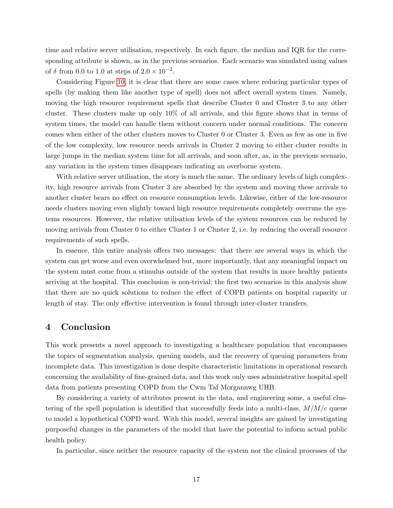time and relative server utilisation, respectively. In each figure, the median and IQR for the corresponding attribute is shown, as in the previous scenarios. Each scenario was simulated using values of  $\delta$  from 0.0 to 1.0 at steps of  $2.0 \times 10^{-2}$ .

Considering Figure [10,](#page-17-0) it is clear that there are some cases where reducing particular types of spells (by making them like another type of spell) does not affect overall system times. Namely, moving the high resource requirement spells that describe Cluster 0 and Cluster 3 to any other cluster. These clusters make up only  $10\%$  of all arrivals, and this figure shows that in terms of system times, the model can handle them without concern under normal conditions. The concern comes when either of the other clusters moves to Cluster 0 or Cluster 3. Even as few as one in five of the low complexity, low resource needs arrivals in Cluster 2 moving to either cluster results in large jumps in the median system time for all arrivals, and soon after, as, in the previous scenario, any variation in the system times disappears indicating an overborne system.

With relative server utilisation, the story is much the same. The ordinary levels of high complexity, high resource arrivals from Cluster 3 are absorbed by the system and moving these arrivals to another cluster bears no effect on resource consumption levels. Likewise, either of the low-resource needs clusters moving even slightly toward high resource requirements completely overruns the systems resources. However, the relative utilisation levels of the system resources can be reduced by moving arrivals from Cluster 0 to either Cluster 1 or Cluster 2, i.e. by reducing the overall resource requirements of such spells.

In essence, this entire analysis offers two messages: that there are several ways in which the system can get worse and even overwhelmed but, more importantly, that any meaningful impact on the system must come from a stimulus outside of the system that results in more healthy patients arriving at the hospital. This conclusion is non-trivial; the first two scenarios in this analysis show that there are no quick solutions to reduce the effect of COPD patients on hospital capacity or length of stay. The only effective intervention is found through inter-cluster transfers.

## <span id="page-16-0"></span>4 Conclusion

This work presents a novel approach to investigating a healthcare population that encompasses the topics of segmentation analysis, queuing models, and the recovery of queuing parameters from incomplete data. This investigation is done despite characteristic limitations in operational research concerning the availability of fine-grained data, and this work only uses administrative hospital spell data from patients presenting COPD from the Cwm Taf Morgannwg UHB.

By considering a variety of attributes present in the data, and engineering some, a useful clustering of the spell population is identified that successfully feeds into a multi-class,  $M/M/c$  queue to model a hypothetical COPD ward. With this model, several insights are gained by investigating purposeful changes in the parameters of the model that have the potential to inform actual public health policy.

In particular, since neither the resource capacity of the system nor the clinical processes of the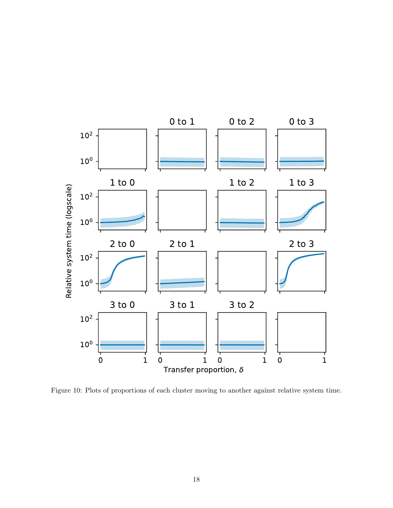<span id="page-17-0"></span>

Figure 10: Plots of proportions of each cluster moving to another against relative system time.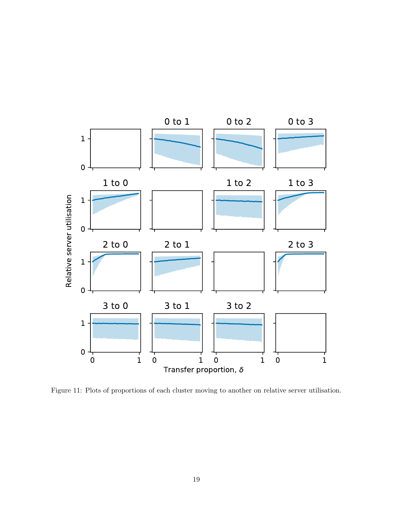<span id="page-18-0"></span>

Figure 11: Plots of proportions of each cluster moving to another on relative server utilisation.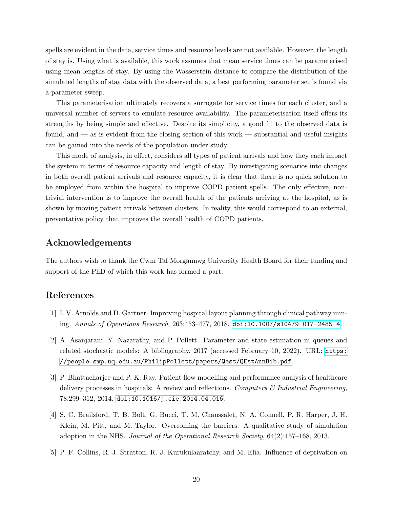spells are evident in the data, service times and resource levels are not available. However, the length of stay is. Using what is available, this work assumes that mean service times can be parameterised using mean lengths of stay. By using the Wasserstein distance to compare the distribution of the simulated lengths of stay data with the observed data, a best performing parameter set is found via a parameter sweep.

This parameterisation ultimately recovers a surrogate for service times for each cluster, and a universal number of servers to emulate resource availability. The parameterisation itself offers its strengths by being simple and effective. Despite its simplicity, a good fit to the observed data is found, and — as is evident from the closing section of this work — substantial and useful insights can be gained into the needs of the population under study.

This mode of analysis, in effect, considers all types of patient arrivals and how they each impact the system in terms of resource capacity and length of stay. By investigating scenarios into changes in both overall patient arrivals and resource capacity, it is clear that there is no quick solution to be employed from within the hospital to improve COPD patient spells. The only effective, nontrivial intervention is to improve the overall health of the patients arriving at the hospital, as is shown by moving patient arrivals between clusters. In reality, this would correspond to an external, preventative policy that improves the overall health of COPD patients.

# Acknowledgements

The authors wish to thank the Cwm Taf Morgannwg University Health Board for their funding and support of the PhD of which this work has formed a part.

## References

- <span id="page-19-0"></span>[1] I. V. Arnolds and D. Gartner. Improving hospital layout planning through clinical pathway mining. Annals of Operations Research, 263:453–477, 2018. [doi:10.1007/s10479-017-2485-4](https://doi.org/10.1007/s10479-017-2485-4).
- <span id="page-19-3"></span>[2] A. Asanjarani, Y. Nazarathy, and P. Pollett. Parameter and state estimation in queues and related stochastic models: A bibliography, 2017 (accessed February 10, 2022). URL: [https:](https://people.smp.uq.edu.au/PhilipPollett/papers/Qest/QEstAnnBib.pdf) [//people.smp.uq.edu.au/PhilipPollett/papers/Qest/QEstAnnBib.pdf](https://people.smp.uq.edu.au/PhilipPollett/papers/Qest/QEstAnnBib.pdf).
- <span id="page-19-1"></span>[3] P. Bhattacharjee and P. K. Ray. Patient flow modelling and performance analysis of healthcare delivery processes in hospitals: A review and reflections. Computers  $\mathcal C$  Industrial Engineering, 78:299–312, 2014. [doi:10.1016/j.cie.2014.04.016](https://doi.org/10.1016/j.cie.2014.04.016).
- <span id="page-19-2"></span>[4] S. C. Brailsford, T. B. Bolt, G. Bucci, T. M. Chaussalet, N. A. Connell, P. R. Harper, J. H. Klein, M. Pitt, and M. Taylor. Overcoming the barriers: A qualitative study of simulation adoption in the NHS. Journal of the Operational Research Society, 64(2):157–168, 2013.
- <span id="page-19-4"></span>[5] P. F. Collins, R. J. Stratton, R. J. Kurukulaaratchy, and M. Elia. Influence of deprivation on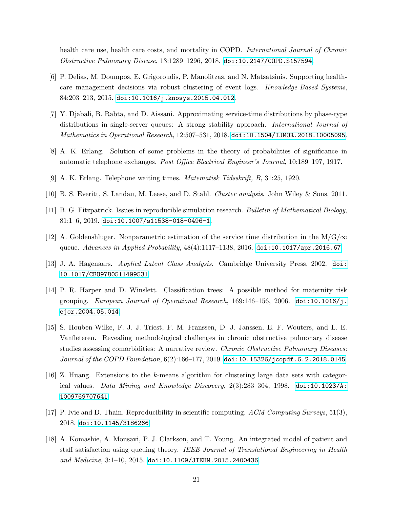health care use, health care costs, and mortality in COPD. *International Journal of Chronic* Obstructive Pulmonary Disease, 13:1289–1296, 2018. [doi:10.2147/COPD.S157594](https://doi.org/10.2147/COPD.S157594).

- <span id="page-20-1"></span>[6] P. Delias, M. Doumpos, E. Grigoroudis, P. Manolitzas, and N. Matsatsinis. Supporting healthcare management decisions via robust clustering of event logs. Knowledge-Based Systems, 84:203–213, 2015. [doi:10.1016/j.knosys.2015.04.012](https://doi.org/10.1016/j.knosys.2015.04.012).
- <span id="page-20-10"></span>[7] Y. Djabali, B. Rabta, and D. Aissani. Approximating service-time distributions by phase-type distributions in single-server queues: A strong stability approach. International Journal of *Mathematics in Operational Research*,  $12:507-531$ ,  $2018$ .  $\text{doi1:10.1504/IMOR.2018.10005095.}$
- <span id="page-20-5"></span>[8] A. K. Erlang. Solution of some problems in the theory of probabilities of significance in automatic telephone exchanges. Post Office Electrical Engineer's Journal, 10:189–197, 1917.
- <span id="page-20-6"></span>[9] A. K. Erlang. Telephone waiting times. Matematisk Tidsskrift, B, 31:25, 1920.
- <span id="page-20-3"></span>[10] B. S. Everitt, S. Landau, M. Leese, and D. Stahl. Cluster analysis. John Wiley & Sons, 2011.
- <span id="page-20-8"></span>[11] B. G. Fitzpatrick. Issues in reproducible simulation research. Bulletin of Mathematical Biology,  $81:1-6$ ,  $2019.$  [doi:10.1007/s11538-018-0496-1](https://doi.org/10.1007/s11538-018-0496-1).
- <span id="page-20-11"></span>[12] A. Goldenshluger. Nonparametric estimation of the service time distribution in the  $M/G/\infty$ queue. Advances in Applied Probability, 48(4):1117-1138, 2016. [doi:10.1017/apr.2016.67](https://doi.org/10.1017/apr.2016.67).
- <span id="page-20-2"></span>[13] J. A. Hagenaars. Applied Latent Class Analysis. Cambridge University Press, 2002. [doi:](https://doi.org/10.1017/CBO9780511499531) [10.1017/CBO9780511499531](https://doi.org/10.1017/CBO9780511499531).
- <span id="page-20-4"></span>[14] P. R. Harper and D. Winslett. Classification trees: A possible method for maternity risk grouping. European Journal of Operational Research,  $169:146-156$ ,  $2006$ . [doi:10.1016/j.](https://doi.org/10.1016/j.ejor.2004.05.014) [ejor.2004.05.014](https://doi.org/10.1016/j.ejor.2004.05.014).
- <span id="page-20-0"></span>[15] S. Houben-Wilke, F. J. J. Triest, F. M. Franssen, D. J. Janssen, E. F. Wouters, and L. E. Vanfleteren. Revealing methodological challenges in chronic obstructive pulmonary disease studies assessing comorbidities: A narrative review. Chronic Obstructive Pulmonary Diseases: Journal of the COPD Foundation,  $6(2)$ :166–177, 2019. [doi:10.15326/jcopdf.6.2.2018.0145](https://doi.org/10.15326/jcopdf.6.2.2018.0145).
- <span id="page-20-12"></span>[16] Z. Huang. Extensions to the k-means algorithm for clustering large data sets with categorical values. Data Mining and Knowledge Discovery,  $2(3):283-304$ , 1998. [doi:10.1023/A:](https://doi.org/10.1023/A:1009769707641) [1009769707641](https://doi.org/10.1023/A:1009769707641).
- <span id="page-20-9"></span>[17] P. Ivie and D. Thain. Reproducibility in scientific computing. ACM Computing Surveys, 51(3), 2018. [doi:10.1145/3186266](https://doi.org/10.1145/3186266).
- <span id="page-20-7"></span>[18] A. Komashie, A. Mousavi, P. J. Clarkson, and T. Young. An integrated model of patient and staff satisfaction using queuing theory. IEEE Journal of Translational Engineering in Health and Medicine,  $3:1-10$ ,  $2015$ . [doi:10.1109/JTEHM.2015.2400436](https://doi.org/10.1109/JTEHM.2015.2400436).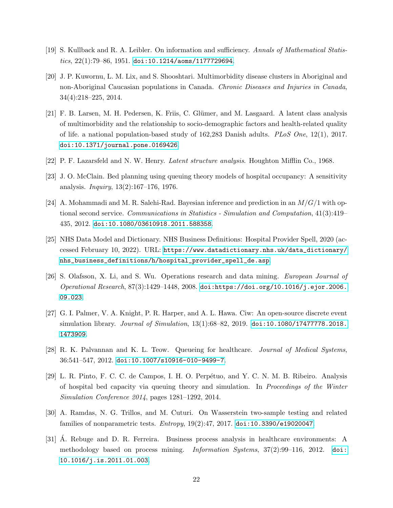- <span id="page-21-11"></span>[19] S. Kullback and R. A. Leibler. On information and sufficiency. Annals of Mathematical Statistics,  $22(1)$ :79-86, 1951. [doi:10.1214/aoms/1177729694](https://doi.org/10.1214/aoms/1177729694).
- <span id="page-21-1"></span>[20] J. P. Kuwornu, L. M. Lix, and S. Shooshtari. Multimorbidity disease clusters in Aboriginal and non-Aboriginal Caucasian populations in Canada. Chronic Diseases and Injuries in Canada, 34(4):218–225, 2014.
- <span id="page-21-2"></span>[21] F. B. Larsen, M. H. Pedersen, K. Friis, C. Glümer, and M. Lasgaard. A latent class analysis of multimorbidity and the relationship to socio-demographic factors and health-related quality of life. a national population-based study of 162,283 Danish adults. PLoS One, 12(1), 2017. [doi:10.1371/journal.pone.0169426](https://doi.org/10.1371/journal.pone.0169426).
- <span id="page-21-0"></span>[22] P. F. Lazarsfeld and N. W. Henry. Latent structure analysis. Houghton Mifflin Co., 1968.
- <span id="page-21-4"></span>[23] J. O. McClain. Bed planning using queuing theory models of hospital occupancy: A sensitivity analysis. Inquiry, 13(2):167–176, 1976.
- <span id="page-21-9"></span>[24] A. Mohammadi and M. R. Salehi-Rad. Bayesian inference and prediction in an  $M/G/1$  with optional second service. Communications in Statistics - Simulation and Computation, 41(3):419– 435, 2012. [doi:10.1080/03610918.2011.588358](https://doi.org/10.1080/03610918.2011.588358).
- <span id="page-21-10"></span>[25] NHS Data Model and Dictionary. NHS Business Definitions: Hospital Provider Spell, 2020 (accessed February 10, 2022). URL: [https://www.datadictionary.nhs.uk/data\\_dictionary/](https://www.datadictionary.nhs.uk/data_dictionary/nhs_business_definitions/h/hospital_provider_spell_de.asp) [nhs\\_business\\_definitions/h/hospital\\_provider\\_spell\\_de.asp](https://www.datadictionary.nhs.uk/data_dictionary/nhs_business_definitions/h/hospital_provider_spell_de.asp).
- <span id="page-21-3"></span>[26] S. Olafsson, X. Li, and S. Wu. Operations research and data mining. European Journal of Operational Research, 87(3):1429–1448, 2008. [doi:https://doi.org/10.1016/j.ejor.2006.](https://doi.org/https://doi.org/10.1016/j.ejor.2006.09.023) [09.023](https://doi.org/https://doi.org/10.1016/j.ejor.2006.09.023).
- <span id="page-21-8"></span>[27] G. I. Palmer, V. A. Knight, P. R. Harper, and A. L. Hawa. Ciw: An open-source discrete event simulation library. *Journal of Simulation*, 13(1):68–82, 2019. [doi:10.1080/17477778.2018.](https://doi.org/10.1080/17477778.2018.1473909) [1473909](https://doi.org/10.1080/17477778.2018.1473909).
- <span id="page-21-5"></span>[28] R. K. Palvannan and K. L. Teow. Queueing for healthcare. Journal of Medical Systems, 36:541–547, 2012. [doi:10.1007/s10916-010-9499-7](https://doi.org/10.1007/s10916-010-9499-7).
- <span id="page-21-6"></span>[29] L. R. Pinto, F. C. C. de Campos, I. H. O. Perpétuo, and Y. C. N. M. B. Ribeiro. Analysis of hospital bed capacity via queuing theory and simulation. In Proceedings of the Winter Simulation Conference 2014, pages 1281–1292, 2014.
- <span id="page-21-12"></span>[30] A. Ramdas, N. G. Trillos, and M. Cuturi. On Wasserstein two-sample testing and related families of nonparametric tests. Entropy, 19(2):47, 2017. [doi:10.3390/e19020047](https://doi.org/10.3390/e19020047).
- <span id="page-21-7"></span>[31] A. Rebuge and D. R. Ferreira. Business process analysis in healthcare environments: A ´ methodology based on process mining. Information Systems, 37(2):99–116, 2012. [doi:](https://doi.org/10.1016/j.is.2011.01.003) [10.1016/j.is.2011.01.003](https://doi.org/10.1016/j.is.2011.01.003).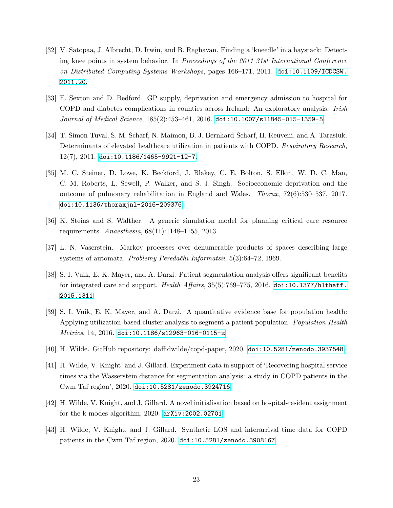- <span id="page-22-7"></span>[32] V. Satopaa, J. Albrecht, D. Irwin, and B. Raghavan. Finding a 'kneedle' in a haystack: Detecting knee points in system behavior. In Proceedings of the 2011 31st International Conference on Distributed Computing Systems Workshops, pages 166–171, 2011. [doi:10.1109/ICDCSW.](https://doi.org/10.1109/ICDCSW.2011.20) [2011.20](https://doi.org/10.1109/ICDCSW.2011.20).
- <span id="page-22-5"></span>[33] E. Sexton and D. Bedford. GP supply, deprivation and emergency admission to hospital for COPD and diabetes complications in counties across Ireland: An exploratory analysis. Irish Journal of Medical Science, 185(2):453–461, 2016. [doi:10.1007/s11845-015-1359-5](https://doi.org/10.1007/s11845-015-1359-5).
- <span id="page-22-4"></span>[34] T. Simon-Tuval, S. M. Scharf, N. Maimon, B. J. Bernhard-Scharf, H. Reuveni, and A. Tarasiuk. Determinants of elevated healthcare utilization in patients with COPD. Respiratory Research, 12(7), 2011. [doi:10.1186/1465-9921-12-7](https://doi.org/10.1186/1465-9921-12-7).
- <span id="page-22-6"></span>[35] M. C. Steiner, D. Lowe, K. Beckford, J. Blakey, C. E. Bolton, S. Elkin, W. D. C. Man, C. M. Roberts, L. Sewell, P. Walker, and S. J. Singh. Socioeconomic deprivation and the outcome of pulmonary rehabilitation in England and Wales. Thorax, 72(6):530–537, 2017. [doi:10.1136/thoraxjnl-2016-209376](https://doi.org/10.1136/thoraxjnl-2016-209376).
- <span id="page-22-9"></span>[36] K. Steins and S. Walther. A generic simulation model for planning critical care resource requirements.  $An a esthesia, 68(11):1148-1155, 2013.$
- <span id="page-22-10"></span>[37] L. N. Vaserstein. Markov processes over denumerable products of spaces describing large systems of automata. *Problemy Peredačhi Informatsii*, 5(3):64–72, 1969.
- <span id="page-22-2"></span>[38] S. I. Vuik, E. K. Mayer, and A. Darzi. Patient segmentation analysis offers significant benefits for integrated care and support. Health Affairs,  $35(5)$ :769-775, 2016. [doi:10.1377/hlthaff.](https://doi.org/10.1377/hlthaff.2015.1311) [2015.1311](https://doi.org/10.1377/hlthaff.2015.1311).
- <span id="page-22-3"></span>[39] S. I. Vuik, E. K. Mayer, and A. Darzi. A quantitative evidence base for population health: Applying utilization-based cluster analysis to segment a patient population. Population Health  $Metrics, 14, 2016.$  [doi:10.1186/s12963-016-0115-z](https://doi.org/10.1186/s12963-016-0115-z).
- <span id="page-22-1"></span>[40] H. Wilde. GitHub repository: daffidwilde/copd-paper, 2020. [doi:10.5281/zenodo.3937548](https://doi.org/10.5281/zenodo.3937548).
- <span id="page-22-11"></span>[41] H. Wilde, V. Knight, and J. Gillard. Experiment data in support of 'Recovering hospital service times via the Wasserstein distance for segmentation analysis: a study in COPD patients in the Cwm Taf region', 2020. [doi:10.5281/zenodo.3924716](https://doi.org/10.5281/zenodo.3924716).
- <span id="page-22-8"></span>[42] H. Wilde, V. Knight, and J. Gillard. A novel initialisation based on hospital-resident assignment for the k-modes algorithm, 2020. [arXiv:2002.02701](http://arxiv.org/abs/2002.02701).
- <span id="page-22-0"></span>[43] H. Wilde, V. Knight, and J. Gillard. Synthetic LOS and interarrival time data for COPD patients in the Cwm Taf region, 2020. [doi:10.5281/zenodo.3908167](https://doi.org/10.5281/zenodo.3908167).